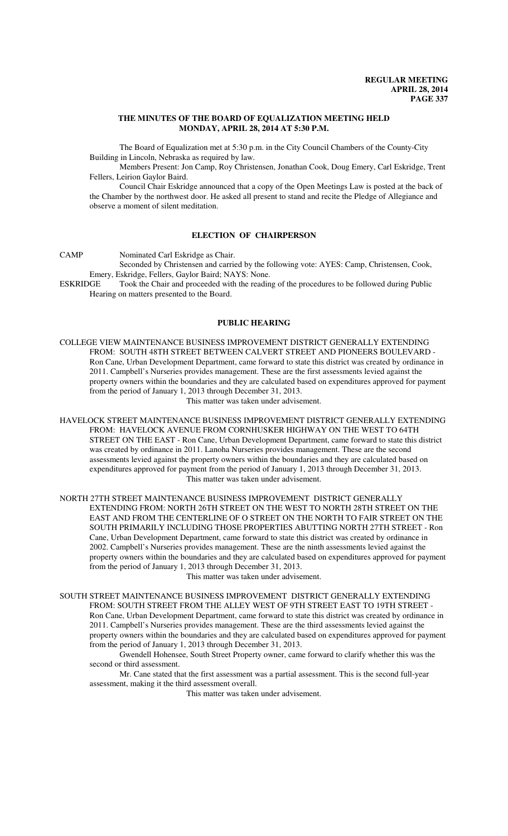#### **THE MINUTES OF THE BOARD OF EQUALIZATION MEETING HELD MONDAY, APRIL 28, 2014 AT 5:30 P.M.**

The Board of Equalization met at 5:30 p.m. in the City Council Chambers of the County-City Building in Lincoln, Nebraska as required by law.

Members Present: Jon Camp, Roy Christensen, Jonathan Cook, Doug Emery, Carl Eskridge, Trent Fellers, Leirion Gaylor Baird.

Council Chair Eskridge announced that a copy of the Open Meetings Law is posted at the back of the Chamber by the northwest door. He asked all present to stand and recite the Pledge of Allegiance and observe a moment of silent meditation.

## **ELECTION OF CHAIRPERSON**

CAMP Nominated Carl Eskridge as Chair.

Seconded by Christensen and carried by the following vote: AYES: Camp, Christensen, Cook, Emery, Eskridge, Fellers, Gaylor Baird; NAYS: None.

ESKRIDGE Took the Chair and proceeded with the reading of the procedures to be followed during Public Hearing on matters presented to the Board.

#### **PUBLIC HEARING**

COLLEGE VIEW MAINTENANCE BUSINESS IMPROVEMENT DISTRICT GENERALLY EXTENDING FROM: SOUTH 48TH STREET BETWEEN CALVERT STREET AND PIONEERS BOULEVARD - Ron Cane, Urban Development Department, came forward to state this district was created by ordinance in 2011. Campbell's Nurseries provides management. These are the first assessments levied against the property owners within the boundaries and they are calculated based on expenditures approved for payment from the period of January 1, 2013 through December 31, 2013.

This matter was taken under advisement.

HAVELOCK STREET MAINTENANCE BUSINESS IMPROVEMENT DISTRICT GENERALLY EXTENDING FROM: HAVELOCK AVENUE FROM CORNHUSKER HIGHWAY ON THE WEST TO 64TH STREET ON THE EAST - Ron Cane, Urban Development Department, came forward to state this district was created by ordinance in 2011. Lanoha Nurseries provides management. These are the second assessments levied against the property owners within the boundaries and they are calculated based on expenditures approved for payment from the period of January 1, 2013 through December 31, 2013. This matter was taken under advisement.

NORTH 27TH STREET MAINTENANCE BUSINESS IMPROVEMENT DISTRICT GENERALLY EXTENDING FROM: NORTH 26TH STREET ON THE WEST TO NORTH 28TH STREET ON THE EAST AND FROM THE CENTERLINE OF O STREET ON THE NORTH TO FAIR STREET ON THE SOUTH PRIMARILY INCLUDING THOSE PROPERTIES ABUTTING NORTH 27TH STREET - Ron Cane, Urban Development Department, came forward to state this district was created by ordinance in 2002. Campbell's Nurseries provides management. These are the ninth assessments levied against the property owners within the boundaries and they are calculated based on expenditures approved for payment from the period of January 1, 2013 through December 31, 2013.

This matter was taken under advisement.

SOUTH STREET MAINTENANCE BUSINESS IMPROVEMENT DISTRICT GENERALLY EXTENDING FROM: SOUTH STREET FROM THE ALLEY WEST OF 9TH STREET EAST TO 19TH STREET - Ron Cane, Urban Development Department, came forward to state this district was created by ordinance in 2011. Campbell's Nurseries provides management. These are the third assessments levied against the property owners within the boundaries and they are calculated based on expenditures approved for payment from the period of January 1, 2013 through December 31, 2013.

Gwendell Hohensee, South Street Property owner, came forward to clarify whether this was the second or third assessment.

Mr. Cane stated that the first assessment was a partial assessment. This is the second full-year assessment, making it the third assessment overall.

This matter was taken under advisement.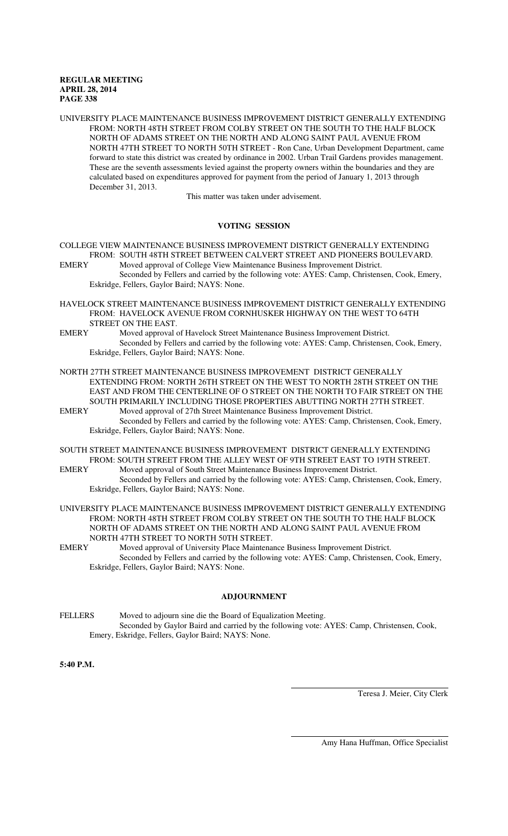UNIVERSITY PLACE MAINTENANCE BUSINESS IMPROVEMENT DISTRICT GENERALLY EXTENDING FROM: NORTH 48TH STREET FROM COLBY STREET ON THE SOUTH TO THE HALF BLOCK NORTH OF ADAMS STREET ON THE NORTH AND ALONG SAINT PAUL AVENUE FROM NORTH 47TH STREET TO NORTH 50TH STREET - Ron Cane, Urban Development Department, came forward to state this district was created by ordinance in 2002. Urban Trail Gardens provides management. These are the seventh assessments levied against the property owners within the boundaries and they are calculated based on expenditures approved for payment from the period of January 1, 2013 through December 31, 2013.

This matter was taken under advisement.

#### **VOTING SESSION**

COLLEGE VIEW MAINTENANCE BUSINESS IMPROVEMENT DISTRICT GENERALLY EXTENDING FROM: SOUTH 48TH STREET BETWEEN CALVERT STREET AND PIONEERS BOULEVARD.

- EMERY Moved approval of College View Maintenance Business Improvement District. Seconded by Fellers and carried by the following vote: AYES: Camp, Christensen, Cook, Emery, Eskridge, Fellers, Gaylor Baird; NAYS: None.
- HAVELOCK STREET MAINTENANCE BUSINESS IMPROVEMENT DISTRICT GENERALLY EXTENDING FROM: HAVELOCK AVENUE FROM CORNHUSKER HIGHWAY ON THE WEST TO 64TH STREET ON THE EAST.
- EMERY Moved approval of Havelock Street Maintenance Business Improvement District. Seconded by Fellers and carried by the following vote: AYES: Camp, Christensen, Cook, Emery, Eskridge, Fellers, Gaylor Baird; NAYS: None.
- NORTH 27TH STREET MAINTENANCE BUSINESS IMPROVEMENT DISTRICT GENERALLY EXTENDING FROM: NORTH 26TH STREET ON THE WEST TO NORTH 28TH STREET ON THE EAST AND FROM THE CENTERLINE OF O STREET ON THE NORTH TO FAIR STREET ON THE SOUTH PRIMARILY INCLUDING THOSE PROPERTIES ABUTTING NORTH 27TH STREET.
- EMERY Moved approval of 27th Street Maintenance Business Improvement District. Seconded by Fellers and carried by the following vote: AYES: Camp, Christensen, Cook, Emery, Eskridge, Fellers, Gaylor Baird; NAYS: None.
- SOUTH STREET MAINTENANCE BUSINESS IMPROVEMENT DISTRICT GENERALLY EXTENDING FROM: SOUTH STREET FROM THE ALLEY WEST OF 9TH STREET EAST TO 19TH STREET.<br>EMERY Moved approval of South Street Maintenance Business Improvement District.
	- Moved approval of South Street Maintenance Business Improvement District. Seconded by Fellers and carried by the following vote: AYES: Camp, Christensen, Cook, Emery, Eskridge, Fellers, Gaylor Baird; NAYS: None.
- UNIVERSITY PLACE MAINTENANCE BUSINESS IMPROVEMENT DISTRICT GENERALLY EXTENDING FROM: NORTH 48TH STREET FROM COLBY STREET ON THE SOUTH TO THE HALF BLOCK NORTH OF ADAMS STREET ON THE NORTH AND ALONG SAINT PAUL AVENUE FROM NORTH 47TH STREET TO NORTH 50TH STREET.
- EMERY Moved approval of University Place Maintenance Business Improvement District. Seconded by Fellers and carried by the following vote: AYES: Camp, Christensen, Cook, Emery, Eskridge, Fellers, Gaylor Baird; NAYS: None.

#### **ADJOURNMENT**

FELLERS Moved to adjourn sine die the Board of Equalization Meeting. Seconded by Gaylor Baird and carried by the following vote: AYES: Camp, Christensen, Cook, Emery, Eskridge, Fellers, Gaylor Baird; NAYS: None.

 $\overline{a}$ 

l

**5:40 P.M.**

Teresa J. Meier, City Clerk

Amy Hana Huffman, Office Specialist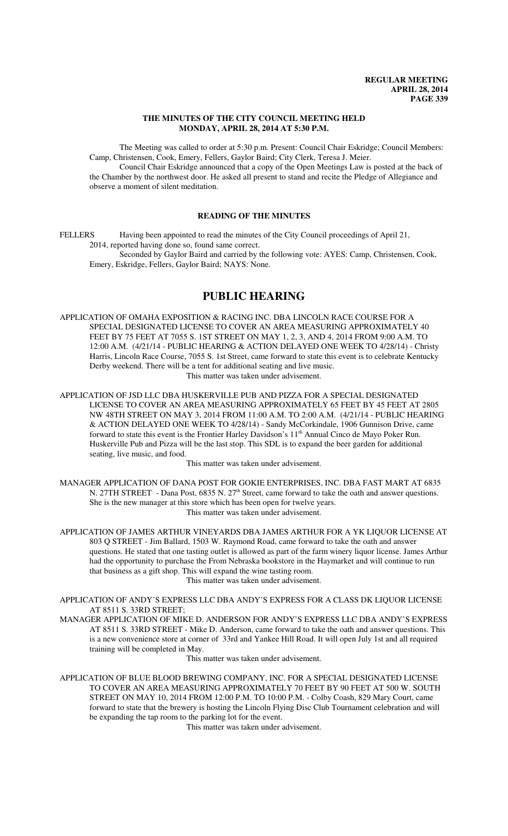## **THE MINUTES OF THE CITY COUNCIL MEETING HELD MONDAY, APRIL 28, 2014 AT 5:30 P.M.**

The Meeting was called to order at 5:30 p.m. Present: Council Chair Eskridge; Council Members: Camp, Christensen, Cook, Emery, Fellers, Gaylor Baird; City Clerk, Teresa J. Meier.

Council Chair Eskridge announced that a copy of the Open Meetings Law is posted at the back of the Chamber by the northwest door. He asked all present to stand and recite the Pledge of Allegiance and observe a moment of silent meditation.

## **READING OF THE MINUTES**

FELLERS Having been appointed to read the minutes of the City Council proceedings of April 21, 2014, reported having done so, found same correct. Seconded by Gaylor Baird and carried by the following vote: AYES: Camp, Christensen, Cook,

Emery, Eskridge, Fellers, Gaylor Baird; NAYS: None.

# **PUBLIC HEARING**

APPLICATION OF OMAHA EXPOSITION & RACING INC. DBA LINCOLN RACE COURSE FOR A SPECIAL DESIGNATED LICENSE TO COVER AN AREA MEASURING APPROXIMATELY 40 FEET BY 75 FEET AT 7055 S. 1ST STREET ON MAY 1, 2, 3, AND 4, 2014 FROM 9:00 A.M. TO 12:00 A.M. (4/21/14 - PUBLIC HEARING & ACTION DELAYED ONE WEEK TO 4/28/14) - Christy Harris, Lincoln Race Course, 7055 S. 1st Street, came forward to state this event is to celebrate Kentucky Derby weekend. There will be a tent for additional seating and live music. This matter was taken under advisement.

APPLICATION OF JSD LLC DBA HUSKERVILLE PUB AND PIZZA FOR A SPECIAL DESIGNATED LICENSE TO COVER AN AREA MEASURING APPROXIMATELY 65 FEET BY 45 FEET AT 2805 NW 48TH STREET ON MAY 3, 2014 FROM 11:00 A.M. TO 2:00 A.M. (4/21/14 - PUBLIC HEARING & ACTION DELAYED ONE WEEK TO 4/28/14) - Sandy McCorkindale, 1906 Gunnison Drive, came forward to state this event is the Frontier Harley Davidson's 11<sup>th</sup> Annual Cinco de Mayo Poker Run. Huskerville Pub and Pizza will be the last stop. This SDL is to expand the beer garden for additional seating, live music, and food.

This matter was taken under advisement.

MANAGER APPLICATION OF DANA POST FOR GOKIE ENTERPRISES, INC. DBA FAST MART AT 6835 N. 27TH STREET - Dana Post, 6835 N.  $27<sup>th</sup>$  Street, came forward to take the oath and answer questions. She is the new manager at this store which has been open for twelve years. This matter was taken under advisement.

APPLICATION OF JAMES ARTHUR VINEYARDS DBA JAMES ARTHUR FOR A YK LIQUOR LICENSE AT 803 Q STREET - Jim Ballard, 1503 W. Raymond Road, came forward to take the oath and answer questions. He stated that one tasting outlet is allowed as part of the farm winery liquor license. James Arthur had the opportunity to purchase the From Nebraska bookstore in the Haymarket and will continue to run that business as a gift shop. This will expand the wine tasting room. This matter was taken under advisement.

APPLICATION OF ANDY'S EXPRESS LLC DBA ANDY'S EXPRESS FOR A CLASS DK LIQUOR LICENSE AT 8511 S. 33RD STREET;

MANAGER APPLICATION OF MIKE D. ANDERSON FOR ANDY'S EXPRESS LLC DBA ANDY'S EXPRESS AT 8511 S. 33RD STREET - Mike D. Anderson, came forward to take the oath and answer questions. This is a new convenience store at corner of 33rd and Yankee Hill Road. It will open July 1st and all required training will be completed in May.

This matter was taken under advisement.

APPLICATION OF BLUE BLOOD BREWING COMPANY, INC. FOR A SPECIAL DESIGNATED LICENSE TO COVER AN AREA MEASURING APPROXIMATELY 70 FEET BY 90 FEET AT 500 W. SOUTH STREET ON MAY 10, 2014 FROM 12:00 P.M. TO 10:00 P.M. - Colby Coash, 829 Mary Court, came forward to state that the brewery is hosting the Lincoln Flying Disc Club Tournament celebration and will be expanding the tap room to the parking lot for the event.

This matter was taken under advisement.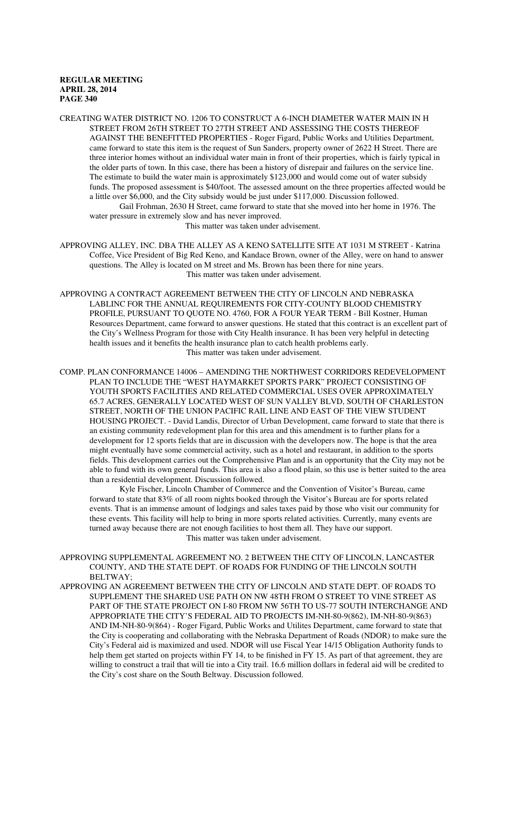CREATING WATER DISTRICT NO. 1206 TO CONSTRUCT A 6-INCH DIAMETER WATER MAIN IN H STREET FROM 26TH STREET TO 27TH STREET AND ASSESSING THE COSTS THEREOF AGAINST THE BENEFITTED PROPERTIES - Roger Figard, Public Works and Utilities Department, came forward to state this item is the request of Sun Sanders, property owner of 2622 H Street. There are three interior homes without an individual water main in front of their properties, which is fairly typical in the older parts of town. In this case, there has been a history of disrepair and failures on the service line. The estimate to build the water main is approximately \$123,000 and would come out of water subsidy funds. The proposed assessment is \$40/foot. The assessed amount on the three properties affected would be a little over \$6,000, and the City subsidy would be just under \$117,000. Discussion followed.

Gail Frohman, 2630 H Street, came forward to state that she moved into her home in 1976. The water pressure in extremely slow and has never improved.

This matter was taken under advisement.

- APPROVING ALLEY, INC. DBA THE ALLEY AS A KENO SATELLITE SITE AT 1031 M STREET Katrina Coffee, Vice President of Big Red Keno, and Kandace Brown, owner of the Alley, were on hand to answer questions. The Alley is located on M street and Ms. Brown has been there for nine years. This matter was taken under advisement.
- APPROVING A CONTRACT AGREEMENT BETWEEN THE CITY OF LINCOLN AND NEBRASKA LABLINC FOR THE ANNUAL REQUIREMENTS FOR CITY-COUNTY BLOOD CHEMISTRY PROFILE, PURSUANT TO QUOTE NO. 4760, FOR A FOUR YEAR TERM - Bill Kostner, Human Resources Department, came forward to answer questions. He stated that this contract is an excellent part of the City's Wellness Program for those with City Health insurance. It has been very helpful in detecting health issues and it benefits the health insurance plan to catch health problems early. This matter was taken under advisement.
- COMP. PLAN CONFORMANCE 14006 AMENDING THE NORTHWEST CORRIDORS REDEVELOPMENT PLAN TO INCLUDE THE "WEST HAYMARKET SPORTS PARK" PROJECT CONSISTING OF YOUTH SPORTS FACILITIES AND RELATED COMMERCIAL USES OVER APPROXIMATELY 65.7 ACRES, GENERALLY LOCATED WEST OF SUN VALLEY BLVD, SOUTH OF CHARLESTON STREET, NORTH OF THE UNION PACIFIC RAIL LINE AND EAST OF THE VIEW STUDENT HOUSING PROJECT. - David Landis, Director of Urban Development, came forward to state that there is an existing community redevelopment plan for this area and this amendment is to further plans for a development for 12 sports fields that are in discussion with the developers now. The hope is that the area might eventually have some commercial activity, such as a hotel and restaurant, in addition to the sports fields. This development carries out the Comprehensive Plan and is an opportunity that the City may not be able to fund with its own general funds. This area is also a flood plain, so this use is better suited to the area than a residential development. Discussion followed.

Kyle Fischer, Lincoln Chamber of Commerce and the Convention of Visitor's Bureau, came forward to state that 83% of all room nights booked through the Visitor's Bureau are for sports related events. That is an immense amount of lodgings and sales taxes paid by those who visit our community for these events. This facility will help to bring in more sports related activities. Currently, many events are turned away because there are not enough facilities to host them all. They have our support. This matter was taken under advisement.

- APPROVING SUPPLEMENTAL AGREEMENT NO. 2 BETWEEN THE CITY OF LINCOLN, LANCASTER COUNTY, AND THE STATE DEPT. OF ROADS FOR FUNDING OF THE LINCOLN SOUTH BELTWAY;
- APPROVING AN AGREEMENT BETWEEN THE CITY OF LINCOLN AND STATE DEPT. OF ROADS TO SUPPLEMENT THE SHARED USE PATH ON NW 48TH FROM O STREET TO VINE STREET AS PART OF THE STATE PROJECT ON I-80 FROM NW 56TH TO US-77 SOUTH INTERCHANGE AND APPROPRIATE THE CITY'S FEDERAL AID TO PROJECTS IM-NH-80-9(862), IM-NH-80-9(863) AND IM-NH-80-9(864) - Roger Figard, Public Works and Utilites Department, came forward to state that the City is cooperating and collaborating with the Nebraska Department of Roads (NDOR) to make sure the City's Federal aid is maximized and used. NDOR will use Fiscal Year 14/15 Obligation Authority funds to help them get started on projects within FY 14, to be finished in FY 15. As part of that agreement, they are willing to construct a trail that will tie into a City trail. 16.6 million dollars in federal aid will be credited to the City's cost share on the South Beltway. Discussion followed.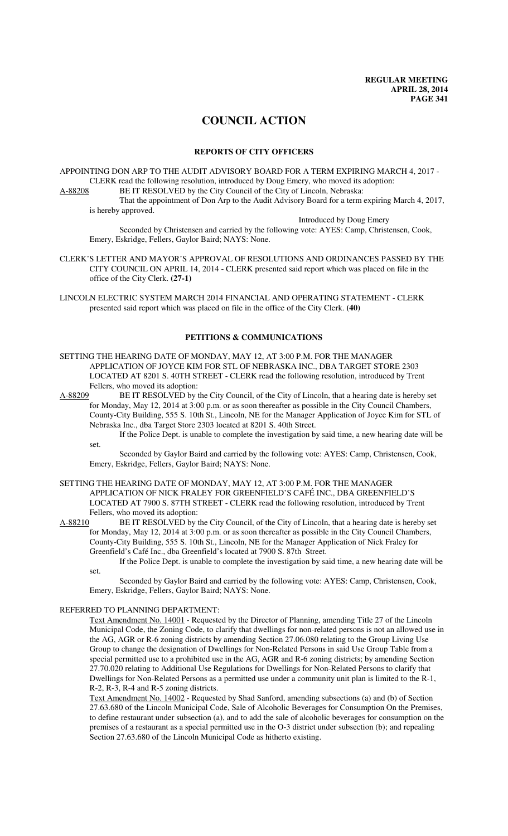# **COUNCIL ACTION**

## **REPORTS OF CITY OFFICERS**

APPOINTING DON ARP TO THE AUDIT ADVISORY BOARD FOR A TERM EXPIRING MARCH 4, 2017 - CLERK read the following resolution, introduced by Doug Emery, who moved its adoption: A-88208 BE IT RESOLVED by the City Council of the City of Lincoln, Nebraska:

That the appointment of Don Arp to the Audit Advisory Board for a term expiring March 4, 2017, is hereby approved.

Introduced by Doug Emery

Seconded by Christensen and carried by the following vote: AYES: Camp, Christensen, Cook, Emery, Eskridge, Fellers, Gaylor Baird; NAYS: None.

CLERK'S LETTER AND MAYOR'S APPROVAL OF RESOLUTIONS AND ORDINANCES PASSED BY THE CITY COUNCIL ON APRIL 14, 2014 - CLERK presented said report which was placed on file in the office of the City Clerk. **(27-1)**

LINCOLN ELECTRIC SYSTEM MARCH 2014 FINANCIAL AND OPERATING STATEMENT - CLERK presented said report which was placed on file in the office of the City Clerk. **(40)**

## **PETITIONS & COMMUNICATIONS**

SETTING THE HEARING DATE OF MONDAY, MAY 12, AT 3:00 P.M. FOR THE MANAGER APPLICATION OF JOYCE KIM FOR STL OF NEBRASKA INC., DBA TARGET STORE 2303 LOCATED AT 8201 S. 40TH STREET - CLERK read the following resolution, introduced by Trent Fellers, who moved its adoption:<br>A-88209 BE IT RESOLVED by t

BE IT RESOLVED by the City Council, of the City of Lincoln, that a hearing date is hereby set for Monday, May 12, 2014 at 3:00 p.m. or as soon thereafter as possible in the City Council Chambers, County-City Building, 555 S. 10th St., Lincoln, NE for the Manager Application of Joyce Kim for STL of Nebraska Inc., dba Target Store 2303 located at 8201 S. 40th Street.

If the Police Dept. is unable to complete the investigation by said time, a new hearing date will be set.

Seconded by Gaylor Baird and carried by the following vote: AYES: Camp, Christensen, Cook, Emery, Eskridge, Fellers, Gaylor Baird; NAYS: None.

# SETTING THE HEARING DATE OF MONDAY, MAY 12, AT 3:00 P.M. FOR THE MANAGER APPLICATION OF NICK FRALEY FOR GREENFIELD'S CAFÉ INC., DBA GREENFIELD'S LOCATED AT 7900 S. 87TH STREET - CLERK read the following resolution, introduced by Trent

Fellers, who moved its adoption:<br>A-88210 BE IT RESOLVED by t BE IT RESOLVED by the City Council, of the City of Lincoln, that a hearing date is hereby set for Monday, May 12, 2014 at 3:00 p.m. or as soon thereafter as possible in the City Council Chambers, County-City Building, 555 S. 10th St., Lincoln, NE for the Manager Application of Nick Fraley for Greenfield's Café Inc., dba Greenfield's located at 7900 S. 87th Street.

If the Police Dept. is unable to complete the investigation by said time, a new hearing date will be set.

Seconded by Gaylor Baird and carried by the following vote: AYES: Camp, Christensen, Cook, Emery, Eskridge, Fellers, Gaylor Baird; NAYS: None.

#### REFERRED TO PLANNING DEPARTMENT:

Text Amendment No. 14001 - Requested by the Director of Planning, amending Title 27 of the Lincoln Municipal Code, the Zoning Code, to clarify that dwellings for non-related persons is not an allowed use in the AG, AGR or R-6 zoning districts by amending Section 27.06.080 relating to the Group Living Use Group to change the designation of Dwellings for Non-Related Persons in said Use Group Table from a special permitted use to a prohibited use in the AG, AGR and R-6 zoning districts; by amending Section 27.70.020 relating to Additional Use Regulations for Dwellings for Non-Related Persons to clarify that Dwellings for Non-Related Persons as a permitted use under a community unit plan is limited to the R-1, R-2, R-3, R-4 and R-5 zoning districts.

Text Amendment No. 14002 - Requested by Shad Sanford, amending subsections (a) and (b) of Section 27.63.680 of the Lincoln Municipal Code, Sale of Alcoholic Beverages for Consumption On the Premises, to define restaurant under subsection (a), and to add the sale of alcoholic beverages for consumption on the premises of a restaurant as a special permitted use in the O-3 district under subsection (b); and repealing Section 27.63.680 of the Lincoln Municipal Code as hitherto existing.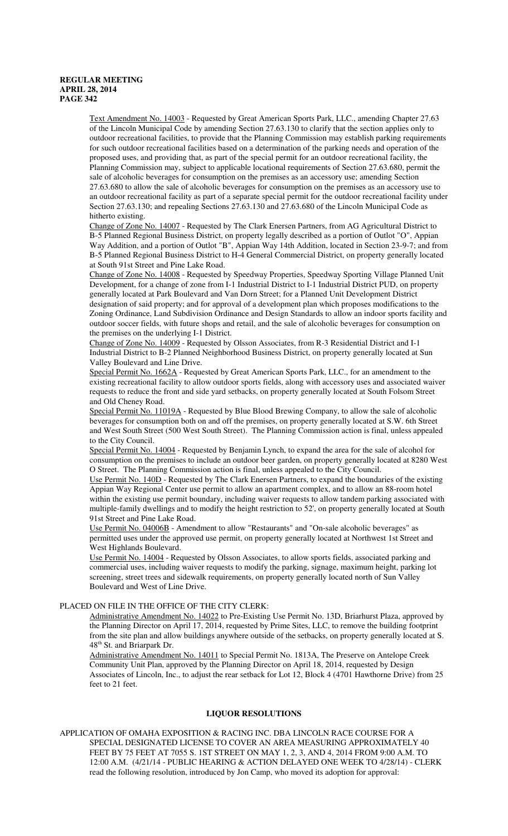Text Amendment No. 14003 - Requested by Great American Sports Park, LLC., amending Chapter 27.63 of the Lincoln Municipal Code by amending Section 27.63.130 to clarify that the section applies only to outdoor recreational facilities, to provide that the Planning Commission may establish parking requirements for such outdoor recreational facilities based on a determination of the parking needs and operation of the proposed uses, and providing that, as part of the special permit for an outdoor recreational facility, the Planning Commission may, subject to applicable locational requirements of Section 27.63.680, permit the sale of alcoholic beverages for consumption on the premises as an accessory use; amending Section 27.63.680 to allow the sale of alcoholic beverages for consumption on the premises as an accessory use to an outdoor recreational facility as part of a separate special permit for the outdoor recreational facility under Section 27.63.130; and repealing Sections 27.63.130 and 27.63.680 of the Lincoln Municipal Code as hitherto existing.

Change of Zone No. 14007 - Requested by The Clark Enersen Partners, from AG Agricultural District to B-5 Planned Regional Business District, on property legally described as a portion of Outlot "O", Appian Way Addition, and a portion of Outlot "B", Appian Way 14th Addition, located in Section 23-9-7; and from B-5 Planned Regional Business District to H-4 General Commercial District, on property generally located at South 91st Street and Pine Lake Road.

Change of Zone No. 14008 - Requested by Speedway Properties, Speedway Sporting Village Planned Unit Development, for a change of zone from I-1 Industrial District to I-1 Industrial District PUD, on property generally located at Park Boulevard and Van Dorn Street; for a Planned Unit Development District designation of said property; and for approval of a development plan which proposes modifications to the Zoning Ordinance, Land Subdivision Ordinance and Design Standards to allow an indoor sports facility and outdoor soccer fields, with future shops and retail, and the sale of alcoholic beverages for consumption on the premises on the underlying I-1 District.

Change of Zone No. 14009 - Requested by Olsson Associates, from R-3 Residential District and I-1 Industrial District to B-2 Planned Neighborhood Business District, on property generally located at Sun Valley Boulevard and Line Drive.

Special Permit No. 1662A - Requested by Great American Sports Park, LLC., for an amendment to the existing recreational facility to allow outdoor sports fields, along with accessory uses and associated waiver requests to reduce the front and side yard setbacks, on property generally located at South Folsom Street and Old Cheney Road.

Special Permit No. 11019A - Requested by Blue Blood Brewing Company, to allow the sale of alcoholic beverages for consumption both on and off the premises, on property generally located at S.W. 6th Street and West South Street (500 West South Street). The Planning Commission action is final, unless appealed to the City Council.

Special Permit No. 14004 - Requested by Benjamin Lynch, to expand the area for the sale of alcohol for consumption on the premises to include an outdoor beer garden, on property generally located at 8280 West O Street. The Planning Commission action is final, unless appealed to the City Council.

Use Permit No. 140D - Requested by The Clark Enersen Partners, to expand the boundaries of the existing Appian Way Regional Center use permit to allow an apartment complex, and to allow an 88-room hotel within the existing use permit boundary, including waiver requests to allow tandem parking associated with multiple-family dwellings and to modify the height restriction to 52', on property generally located at South 91st Street and Pine Lake Road.

Use Permit No. 04006B - Amendment to allow "Restaurants" and "On-sale alcoholic beverages" as permitted uses under the approved use permit, on property generally located at Northwest 1st Street and West Highlands Boulevard.

Use Permit No. 14004 - Requested by Olsson Associates, to allow sports fields, associated parking and commercial uses, including waiver requests to modify the parking, signage, maximum height, parking lot screening, street trees and sidewalk requirements, on property generally located north of Sun Valley Boulevard and West of Line Drive.

## PLACED ON FILE IN THE OFFICE OF THE CITY CLERK:

Administrative Amendment No. 14022 to Pre-Existing Use Permit No. 13D, Briarhurst Plaza, approved by the Planning Director on April 17, 2014, requested by Prime Sites, LLC, to remove the building footprint from the site plan and allow buildings anywhere outside of the setbacks, on property generally located at S. 48<sup>th</sup> St. and Briarpark Dr.

Administrative Amendment No. 14011 to Special Permit No. 1813A, The Preserve on Antelope Creek Community Unit Plan, approved by the Planning Director on April 18, 2014, requested by Design Associates of Lincoln, Inc., to adjust the rear setback for Lot 12, Block 4 (4701 Hawthorne Drive) from 25 feet to 21 feet.

#### **LIQUOR RESOLUTIONS**

APPLICATION OF OMAHA EXPOSITION & RACING INC. DBA LINCOLN RACE COURSE FOR A SPECIAL DESIGNATED LICENSE TO COVER AN AREA MEASURING APPROXIMATELY 40 FEET BY 75 FEET AT 7055 S. 1ST STREET ON MAY 1, 2, 3, AND 4, 2014 FROM 9:00 A.M. TO 12:00 A.M. (4/21/14 - PUBLIC HEARING & ACTION DELAYED ONE WEEK TO 4/28/14) - CLERK read the following resolution, introduced by Jon Camp, who moved its adoption for approval: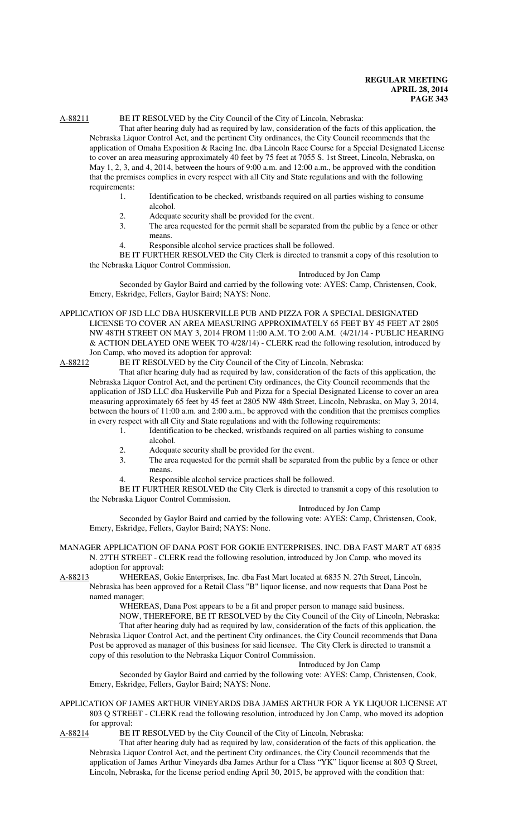# A-88211 BE IT RESOLVED by the City Council of the City of Lincoln, Nebraska:

That after hearing duly had as required by law, consideration of the facts of this application, the Nebraska Liquor Control Act, and the pertinent City ordinances, the City Council recommends that the application of Omaha Exposition & Racing Inc. dba Lincoln Race Course for a Special Designated License to cover an area measuring approximately 40 feet by 75 feet at 7055 S. 1st Street, Lincoln, Nebraska, on May 1, 2, 3, and 4, 2014, between the hours of 9:00 a.m. and 12:00 a.m., be approved with the condition that the premises complies in every respect with all City and State regulations and with the following requirements:

- 1. Identification to be checked, wristbands required on all parties wishing to consume alcohol.
- 2. Adequate security shall be provided for the event.
- 3. The area requested for the permit shall be separated from the public by a fence or other means.
- 4. Responsible alcohol service practices shall be followed.

BE IT FURTHER RESOLVED the City Clerk is directed to transmit a copy of this resolution to the Nebraska Liquor Control Commission.

Introduced by Jon Camp

Seconded by Gaylor Baird and carried by the following vote: AYES: Camp, Christensen, Cook, Emery, Eskridge, Fellers, Gaylor Baird; NAYS: None.

APPLICATION OF JSD LLC DBA HUSKERVILLE PUB AND PIZZA FOR A SPECIAL DESIGNATED LICENSE TO COVER AN AREA MEASURING APPROXIMATELY 65 FEET BY 45 FEET AT 2805 NW 48TH STREET ON MAY 3, 2014 FROM 11:00 A.M. TO 2:00 A.M. (4/21/14 - PUBLIC HEARING & ACTION DELAYED ONE WEEK TO 4/28/14) - CLERK read the following resolution, introduced by Jon Camp, who moved its adoption for approval:

A-88212 BE IT RESOLVED by the City Council of the City of Lincoln, Nebraska:

That after hearing duly had as required by law, consideration of the facts of this application, the Nebraska Liquor Control Act, and the pertinent City ordinances, the City Council recommends that the application of JSD LLC dba Huskerville Pub and Pizza for a Special Designated License to cover an area measuring approximately 65 feet by 45 feet at 2805 NW 48th Street, Lincoln, Nebraska, on May 3, 2014, between the hours of 11:00 a.m. and 2:00 a.m., be approved with the condition that the premises complies in every respect with all City and State regulations and with the following requirements:

1. Identification to be checked, wristbands required on all parties wishing to consume alcohol.

- 2. Adequate security shall be provided for the event.
- 3. The area requested for the permit shall be separated from the public by a fence or other means.
- 4. Responsible alcohol service practices shall be followed.

BE IT FURTHER RESOLVED the City Clerk is directed to transmit a copy of this resolution to the Nebraska Liquor Control Commission.

#### Introduced by Jon Camp

Seconded by Gaylor Baird and carried by the following vote: AYES: Camp, Christensen, Cook, Emery, Eskridge, Fellers, Gaylor Baird; NAYS: None.

#### MANAGER APPLICATION OF DANA POST FOR GOKIE ENTERPRISES, INC. DBA FAST MART AT 6835 N. 27TH STREET - CLERK read the following resolution, introduced by Jon Camp, who moved its adoption for approval:

A-88213 WHEREAS, Gokie Enterprises, Inc. dba Fast Mart located at 6835 N. 27th Street, Lincoln, Nebraska has been approved for a Retail Class "B" liquor license, and now requests that Dana Post be named manager;

WHEREAS, Dana Post appears to be a fit and proper person to manage said business.

NOW, THEREFORE, BE IT RESOLVED by the City Council of the City of Lincoln, Nebraska: That after hearing duly had as required by law, consideration of the facts of this application, the Nebraska Liquor Control Act, and the pertinent City ordinances, the City Council recommends that Dana Post be approved as manager of this business for said licensee. The City Clerk is directed to transmit a copy of this resolution to the Nebraska Liquor Control Commission.

## Introduced by Jon Camp

Seconded by Gaylor Baird and carried by the following vote: AYES: Camp, Christensen, Cook, Emery, Eskridge, Fellers, Gaylor Baird; NAYS: None.

APPLICATION OF JAMES ARTHUR VINEYARDS DBA JAMES ARTHUR FOR A YK LIQUOR LICENSE AT 803 Q STREET - CLERK read the following resolution, introduced by Jon Camp, who moved its adoption for approval:

A-88214 BE IT RESOLVED by the City Council of the City of Lincoln, Nebraska:

That after hearing duly had as required by law, consideration of the facts of this application, the Nebraska Liquor Control Act, and the pertinent City ordinances, the City Council recommends that the application of James Arthur Vineyards dba James Arthur for a Class "YK" liquor license at 803 Q Street, Lincoln, Nebraska, for the license period ending April 30, 2015, be approved with the condition that: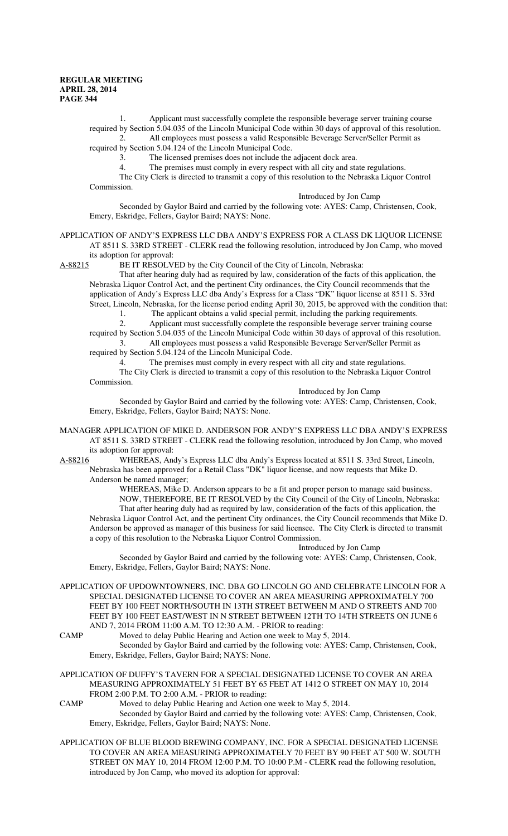1. Applicant must successfully complete the responsible beverage server training course required by Section 5.04.035 of the Lincoln Municipal Code within 30 days of approval of this resolution. 2. All employees must possess a valid Responsible Beverage Server/Seller Permit as required by Section 5.04.124 of the Lincoln Municipal Code.

3. The licensed premises does not include the adjacent dock area.

4. The premises must comply in every respect with all city and state regulations.

The City Clerk is directed to transmit a copy of this resolution to the Nebraska Liquor Control Commission.

Introduced by Jon Camp

Seconded by Gaylor Baird and carried by the following vote: AYES: Camp, Christensen, Cook, Emery, Eskridge, Fellers, Gaylor Baird; NAYS: None.

# APPLICATION OF ANDY'S EXPRESS LLC DBA ANDY'S EXPRESS FOR A CLASS DK LIQUOR LICENSE AT 8511 S. 33RD STREET - CLERK read the following resolution, introduced by Jon Camp, who moved its adoption for approval:<br>A-88215 BE IT RESOLVI

BE IT RESOLVED by the City Council of the City of Lincoln, Nebraska:

That after hearing duly had as required by law, consideration of the facts of this application, the Nebraska Liquor Control Act, and the pertinent City ordinances, the City Council recommends that the application of Andy's Express LLC dba Andy's Express for a Class "DK" liquor license at 8511 S. 33rd Street, Lincoln, Nebraska, for the license period ending April 30, 2015, be approved with the condition that:

1. The applicant obtains a valid special permit, including the parking requirements.<br>2. Applicant must successfully complete the responsible beverage server training co

Applicant must successfully complete the responsible beverage server training course required by Section 5.04.035 of the Lincoln Municipal Code within 30 days of approval of this resolution. 3. All employees must possess a valid Responsible Beverage Server/Seller Permit as

required by Section 5.04.124 of the Lincoln Municipal Code.

4. The premises must comply in every respect with all city and state regulations.

The City Clerk is directed to transmit a copy of this resolution to the Nebraska Liquor Control Commission.

## Introduced by Jon Camp

Seconded by Gaylor Baird and carried by the following vote: AYES: Camp, Christensen, Cook, Emery, Eskridge, Fellers, Gaylor Baird; NAYS: None.

- MANAGER APPLICATION OF MIKE D. ANDERSON FOR ANDY'S EXPRESS LLC DBA ANDY'S EXPRESS AT 8511 S. 33RD STREET - CLERK read the following resolution, introduced by Jon Camp, who moved its adoption for approval:
- A-88216 WHEREAS, Andy's Express LLC dba Andy's Express located at 8511 S. 33rd Street, Lincoln, Nebraska has been approved for a Retail Class "DK" liquor license, and now requests that Mike D. Anderson be named manager;

WHEREAS, Mike D. Anderson appears to be a fit and proper person to manage said business. NOW, THEREFORE, BE IT RESOLVED by the City Council of the City of Lincoln, Nebraska: That after hearing duly had as required by law, consideration of the facts of this application, the Nebraska Liquor Control Act, and the pertinent City ordinances, the City Council recommends that Mike D. Anderson be approved as manager of this business for said licensee. The City Clerk is directed to transmit a copy of this resolution to the Nebraska Liquor Control Commission.

Introduced by Jon Camp

Seconded by Gaylor Baird and carried by the following vote: AYES: Camp, Christensen, Cook, Emery, Eskridge, Fellers, Gaylor Baird; NAYS: None.

- APPLICATION OF UPDOWNTOWNERS, INC. DBA GO LINCOLN GO AND CELEBRATE LINCOLN FOR A SPECIAL DESIGNATED LICENSE TO COVER AN AREA MEASURING APPROXIMATELY 700 FEET BY 100 FEET NORTH/SOUTH IN 13TH STREET BETWEEN M AND O STREETS AND 700 FEET BY 100 FEET EAST/WEST IN N STREET BETWEEN 12TH TO 14TH STREETS ON JUNE 6 AND 7, 2014 FROM 11:00 A.M. TO 12:30 A.M. - PRIOR to reading:
- CAMP Moved to delay Public Hearing and Action one week to May 5, 2014. Seconded by Gaylor Baird and carried by the following vote: AYES: Camp, Christensen, Cook, Emery, Eskridge, Fellers, Gaylor Baird; NAYS: None.

APPLICATION OF DUFFY'S TAVERN FOR A SPECIAL DESIGNATED LICENSE TO COVER AN AREA MEASURING APPROXIMATELY 51 FEET BY 65 FEET AT 1412 O STREET ON MAY 10, 2014 FROM 2:00 P.M. TO 2:00 A.M. - PRIOR to reading:

CAMP Moved to delay Public Hearing and Action one week to May 5, 2014.

Seconded by Gaylor Baird and carried by the following vote: AYES: Camp, Christensen, Cook, Emery, Eskridge, Fellers, Gaylor Baird; NAYS: None.

APPLICATION OF BLUE BLOOD BREWING COMPANY, INC. FOR A SPECIAL DESIGNATED LICENSE TO COVER AN AREA MEASURING APPROXIMATELY 70 FEET BY 90 FEET AT 500 W. SOUTH STREET ON MAY 10, 2014 FROM 12:00 P.M. TO 10:00 P.M - CLERK read the following resolution, introduced by Jon Camp, who moved its adoption for approval: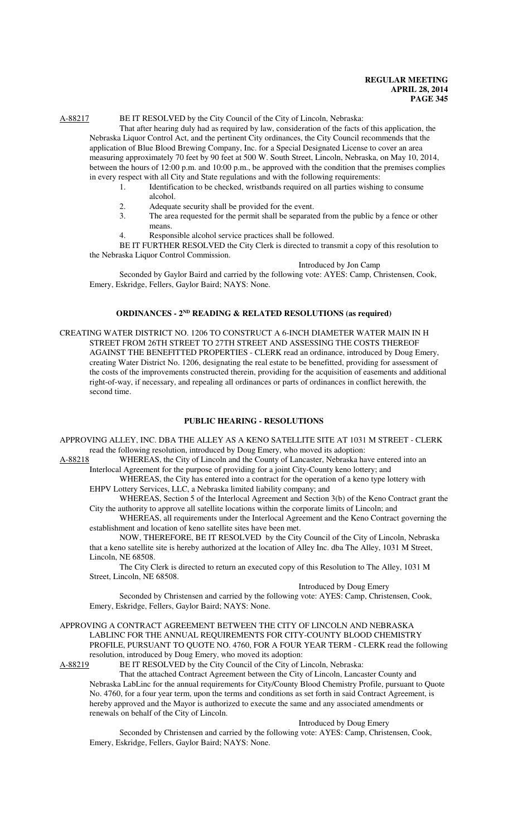# A-88217 BE IT RESOLVED by the City Council of the City of Lincoln, Nebraska:

That after hearing duly had as required by law, consideration of the facts of this application, the Nebraska Liquor Control Act, and the pertinent City ordinances, the City Council recommends that the application of Blue Blood Brewing Company, Inc. for a Special Designated License to cover an area measuring approximately 70 feet by 90 feet at 500 W. South Street, Lincoln, Nebraska, on May 10, 2014, between the hours of 12:00 p.m. and 10:00 p.m., be approved with the condition that the premises complies in every respect with all City and State regulations and with the following requirements:

- 1. Identification to be checked, wristbands required on all parties wishing to consume alcohol.
- 2. Adequate security shall be provided for the event.
- 3. The area requested for the permit shall be separated from the public by a fence or other means.
- 4. Responsible alcohol service practices shall be followed.

BE IT FURTHER RESOLVED the City Clerk is directed to transmit a copy of this resolution to the Nebraska Liquor Control Commission.

#### Introduced by Jon Camp

Seconded by Gaylor Baird and carried by the following vote: AYES: Camp, Christensen, Cook, Emery, Eskridge, Fellers, Gaylor Baird; NAYS: None.

## **ORDINANCES - 2ND READING & RELATED RESOLUTIONS (as required)**

CREATING WATER DISTRICT NO. 1206 TO CONSTRUCT A 6-INCH DIAMETER WATER MAIN IN H STREET FROM 26TH STREET TO 27TH STREET AND ASSESSING THE COSTS THEREOF AGAINST THE BENEFITTED PROPERTIES - CLERK read an ordinance, introduced by Doug Emery, creating Water District No. 1206, designating the real estate to be benefitted, providing for assessment of the costs of the improvements constructed therein, providing for the acquisition of easements and additional right-of-way, if necessary, and repealing all ordinances or parts of ordinances in conflict herewith, the second time.

#### **PUBLIC HEARING - RESOLUTIONS**

APPROVING ALLEY, INC. DBA THE ALLEY AS A KENO SATELLITE SITE AT 1031 M STREET - CLERK read the following resolution, introduced by Doug Emery, who moved its adoption:

A-88218 WHEREAS, the City of Lincoln and the County of Lancaster, Nebraska have entered into an Interlocal Agreement for the purpose of providing for a joint City-County keno lottery; and

WHEREAS, the City has entered into a contract for the operation of a keno type lottery with EHPV Lottery Services, LLC, a Nebraska limited liability company; and

WHEREAS, Section 5 of the Interlocal Agreement and Section 3(b) of the Keno Contract grant the City the authority to approve all satellite locations within the corporate limits of Lincoln; and

WHEREAS, all requirements under the Interlocal Agreement and the Keno Contract governing the establishment and location of keno satellite sites have been met.

NOW, THEREFORE, BE IT RESOLVED by the City Council of the City of Lincoln, Nebraska that a keno satellite site is hereby authorized at the location of Alley Inc. dba The Alley, 1031 M Street, Lincoln, NE 68508.

The City Clerk is directed to return an executed copy of this Resolution to The Alley, 1031 M Street, Lincoln, NE 68508.

## Introduced by Doug Emery

Seconded by Christensen and carried by the following vote: AYES: Camp, Christensen, Cook, Emery, Eskridge, Fellers, Gaylor Baird; NAYS: None.

#### APPROVING A CONTRACT AGREEMENT BETWEEN THE CITY OF LINCOLN AND NEBRASKA LABLINC FOR THE ANNUAL REQUIREMENTS FOR CITY-COUNTY BLOOD CHEMISTRY PROFILE, PURSUANT TO QUOTE NO. 4760, FOR A FOUR YEAR TERM - CLERK read the following resolution, introduced by Doug Emery, who moved its adoption:

A-88219 BE IT RESOLVED by the City Council of the City of Lincoln, Nebraska:

That the attached Contract Agreement between the City of Lincoln, Lancaster County and Nebraska LabLinc for the annual requirements for City/County Blood Chemistry Profile, pursuant to Quote No. 4760, for a four year term, upon the terms and conditions as set forth in said Contract Agreement, is hereby approved and the Mayor is authorized to execute the same and any associated amendments or renewals on behalf of the City of Lincoln.

#### Introduced by Doug Emery

Seconded by Christensen and carried by the following vote: AYES: Camp, Christensen, Cook, Emery, Eskridge, Fellers, Gaylor Baird; NAYS: None.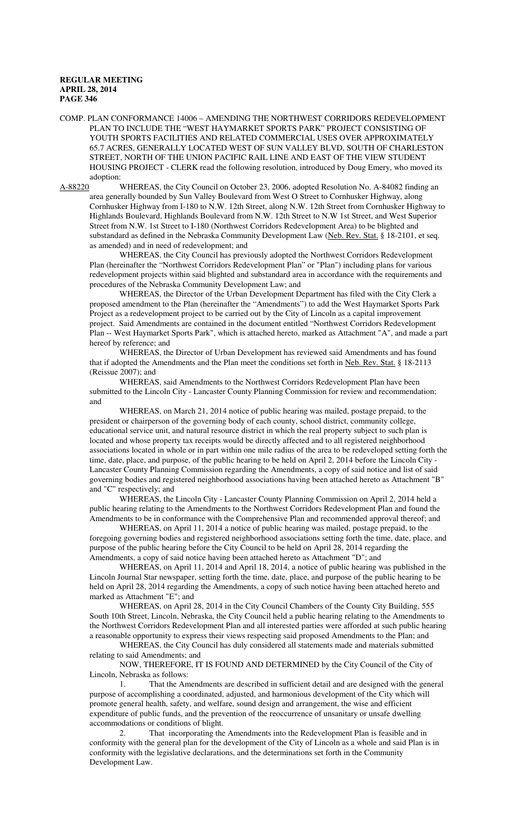COMP. PLAN CONFORMANCE 14006 – AMENDING THE NORTHWEST CORRIDORS REDEVELOPMENT PLAN TO INCLUDE THE "WEST HAYMARKET SPORTS PARK" PROJECT CONSISTING OF YOUTH SPORTS FACILITIES AND RELATED COMMERCIAL USES OVER APPROXIMATELY 65.7 ACRES, GENERALLY LOCATED WEST OF SUN VALLEY BLVD, SOUTH OF CHARLESTON STREET, NORTH OF THE UNION PACIFIC RAIL LINE AND EAST OF THE VIEW STUDENT HOUSING PROJECT - CLERK read the following resolution, introduced by Doug Emery, who moved its adoption:

A-88220 WHEREAS, the City Council on October 23, 2006, adopted Resolution No. A-84082 finding an area generally bounded by Sun Valley Boulevard from West O Street to Cornhusker Highway, along Cornhusker Highway from I-180 to N.W. 12th Street, along N.W. 12th Street from Cornhusker Highway to Highlands Boulevard, Highlands Boulevard from N.W. 12th Street to N.W 1st Street, and West Superior Street from N.W. 1st Street to I-180 (Northwest Corridors Redevelopment Area) to be blighted and substandard as defined in the Nebraska Community Development Law (Neb. Rev. Stat. § 18-2101, et seq. as amended) and in need of redevelopment; and

WHEREAS, the City Council has previously adopted the Northwest Corridors Redevelopment Plan (hereinafter the "Northwest Corridors Redevelopment Plan" or "Plan") including plans for various redevelopment projects within said blighted and substandard area in accordance with the requirements and procedures of the Nebraska Community Development Law; and

WHEREAS, the Director of the Urban Development Department has filed with the City Clerk a proposed amendment to the Plan (hereinafter the "Amendments") to add the West Haymarket Sports Park Project as a redevelopment project to be carried out by the City of Lincoln as a capital improvement project. Said Amendments are contained in the document entitled "Northwest Corridors Redevelopment Plan -- West Haymarket Sports Park", which is attached hereto, marked as Attachment "A", and made a part hereof by reference; and

WHEREAS, the Director of Urban Development has reviewed said Amendments and has found that if adopted the Amendments and the Plan meet the conditions set forth in Neb. Rev. Stat. § 18-2113 (Reissue 2007); and

WHEREAS, said Amendments to the Northwest Corridors Redevelopment Plan have been submitted to the Lincoln City - Lancaster County Planning Commission for review and recommendation; and

WHEREAS, on March 21, 2014 notice of public hearing was mailed, postage prepaid, to the president or chairperson of the governing body of each county, school district, community college, educational service unit, and natural resource district in which the real property subject to such plan is located and whose property tax receipts would be directly affected and to all registered neighborhood associations located in whole or in part within one mile radius of the area to be redeveloped setting forth the time, date, place, and purpose, of the public hearing to be held on April 2, 2014 before the Lincoln City - Lancaster County Planning Commission regarding the Amendments, a copy of said notice and list of said governing bodies and registered neighborhood associations having been attached hereto as Attachment "B" and "C" respectively; and

WHEREAS, the Lincoln City - Lancaster County Planning Commission on April 2, 2014 held a public hearing relating to the Amendments to the Northwest Corridors Redevelopment Plan and found the Amendments to be in conformance with the Comprehensive Plan and recommended approval thereof; and

WHEREAS, on April 11, 2014 a notice of public hearing was mailed, postage prepaid, to the foregoing governing bodies and registered neighborhood associations setting forth the time, date, place, and purpose of the public hearing before the City Council to be held on April 28, 2014 regarding the Amendments, a copy of said notice having been attached hereto as Attachment "D"; and

WHEREAS, on April 11, 2014 and April 18, 2014, a notice of public hearing was published in the Lincoln Journal Star newspaper, setting forth the time, date, place, and purpose of the public hearing to be held on April 28, 2014 regarding the Amendments, a copy of such notice having been attached hereto and marked as Attachment "E"; and

WHEREAS, on April 28, 2014 in the City Council Chambers of the County City Building, 555 South 10th Street, Lincoln, Nebraska, the City Council held a public hearing relating to the Amendments to the Northwest Corridors Redevelopment Plan and all interested parties were afforded at such public hearing a reasonable opportunity to express their views respecting said proposed Amendments to the Plan; and

WHEREAS, the City Council has duly considered all statements made and materials submitted relating to said Amendments; and

NOW, THEREFORE, IT IS FOUND AND DETERMINED by the City Council of the City of Lincoln, Nebraska as follows:

1. That the Amendments are described in sufficient detail and are designed with the general purpose of accomplishing a coordinated, adjusted, and harmonious development of the City which will promote general health, safety, and welfare, sound design and arrangement, the wise and efficient expenditure of public funds, and the prevention of the reoccurrence of unsanitary or unsafe dwelling accommodations or conditions of blight.

2. That incorporating the Amendments into the Redevelopment Plan is feasible and in conformity with the general plan for the development of the City of Lincoln as a whole and said Plan is in conformity with the legislative declarations, and the determinations set forth in the Community Development Law.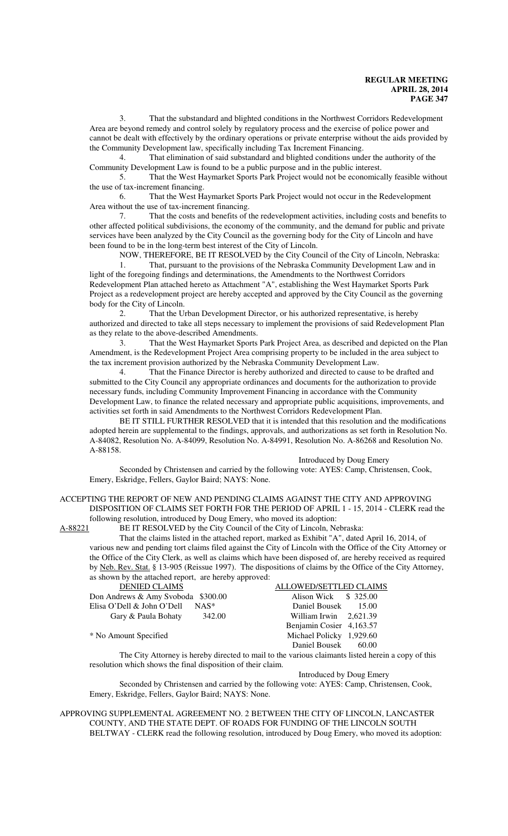3. That the substandard and blighted conditions in the Northwest Corridors Redevelopment Area are beyond remedy and control solely by regulatory process and the exercise of police power and cannot be dealt with effectively by the ordinary operations or private enterprise without the aids provided by the Community Development law, specifically including Tax Increment Financing.

4. That elimination of said substandard and blighted conditions under the authority of the Community Development Law is found to be a public purpose and in the public interest.

5. That the West Haymarket Sports Park Project would not be economically feasible without the use of tax-increment financing.

6. That the West Haymarket Sports Park Project would not occur in the Redevelopment Area without the use of tax-increment financing.

7. That the costs and benefits of the redevelopment activities, including costs and benefits to other affected political subdivisions, the economy of the community, and the demand for public and private services have been analyzed by the City Council as the governing body for the City of Lincoln and have been found to be in the long-term best interest of the City of Lincoln.

NOW, THEREFORE, BE IT RESOLVED by the City Council of the City of Lincoln, Nebraska: That, pursuant to the provisions of the Nebraska Community Development Law and in light of the foregoing findings and determinations, the Amendments to the Northwest Corridors Redevelopment Plan attached hereto as Attachment "A", establishing the West Haymarket Sports Park Project as a redevelopment project are hereby accepted and approved by the City Council as the governing body for the City of Lincoln.

2. That the Urban Development Director, or his authorized representative, is hereby authorized and directed to take all steps necessary to implement the provisions of said Redevelopment Plan as they relate to the above-described Amendments.

3. That the West Haymarket Sports Park Project Area, as described and depicted on the Plan Amendment, is the Redevelopment Project Area comprising property to be included in the area subject to the tax increment provision authorized by the Nebraska Community Development Law.

4. That the Finance Director is hereby authorized and directed to cause to be drafted and submitted to the City Council any appropriate ordinances and documents for the authorization to provide necessary funds, including Community Improvement Financing in accordance with the Community Development Law, to finance the related necessary and appropriate public acquisitions, improvements, and activities set forth in said Amendments to the Northwest Corridors Redevelopment Plan.

BE IT STILL FURTHER RESOLVED that it is intended that this resolution and the modifications adopted herein are supplemental to the findings, approvals, and authorizations as set forth in Resolution No. A-84082, Resolution No. A-84099, Resolution No. A-84991, Resolution No. A-86268 and Resolution No. A-88158.

#### Introduced by Doug Emery

Seconded by Christensen and carried by the following vote: AYES: Camp, Christensen, Cook, Emery, Eskridge, Fellers, Gaylor Baird; NAYS: None.

#### ACCEPTING THE REPORT OF NEW AND PENDING CLAIMS AGAINST THE CITY AND APPROVING DISPOSITION OF CLAIMS SET FORTH FOR THE PERIOD OF APRIL 1 - 15, 2014 - CLERK read the following resolution, introduced by Doug Emery, who moved its adoption:

A-88221 BE IT RESOLVED by the City Council of the City of Lincoln, Nebraska:

That the claims listed in the attached report, marked as Exhibit "A", dated April 16, 2014, of various new and pending tort claims filed against the City of Lincoln with the Office of the City Attorney or the Office of the City Clerk, as well as claims which have been disposed of, are hereby received as required by Neb. Rev. Stat. § 13-905 (Reissue 1997). The dispositions of claims by the Office of the City Attorney, as shown by the attached report, are hereby approved:

| <b>DENIED CLAIMS</b>               | <b>ALLOWED/SETTLED CLAIMS</b> |
|------------------------------------|-------------------------------|
| Don Andrews & Amy Svoboda \$300.00 | Alison Wick \$ 325.00         |
| Elisa O'Dell & John O'Dell NAS*    | Daniel Bousek 15.00           |
| 342.00<br>Gary & Paula Bohaty      | William Irwin $2,621.39$      |
|                                    | Benjamin Cosier 4,163.57      |
| * No Amount Specified              | Michael Policky 1,929.60      |
|                                    | Daniel Bousek 60.00           |

The City Attorney is hereby directed to mail to the various claimants listed herein a copy of this resolution which shows the final disposition of their claim.

Introduced by Doug Emery

Seconded by Christensen and carried by the following vote: AYES: Camp, Christensen, Cook, Emery, Eskridge, Fellers, Gaylor Baird; NAYS: None.

APPROVING SUPPLEMENTAL AGREEMENT NO. 2 BETWEEN THE CITY OF LINCOLN, LANCASTER COUNTY, AND THE STATE DEPT. OF ROADS FOR FUNDING OF THE LINCOLN SOUTH BELTWAY - CLERK read the following resolution, introduced by Doug Emery, who moved its adoption: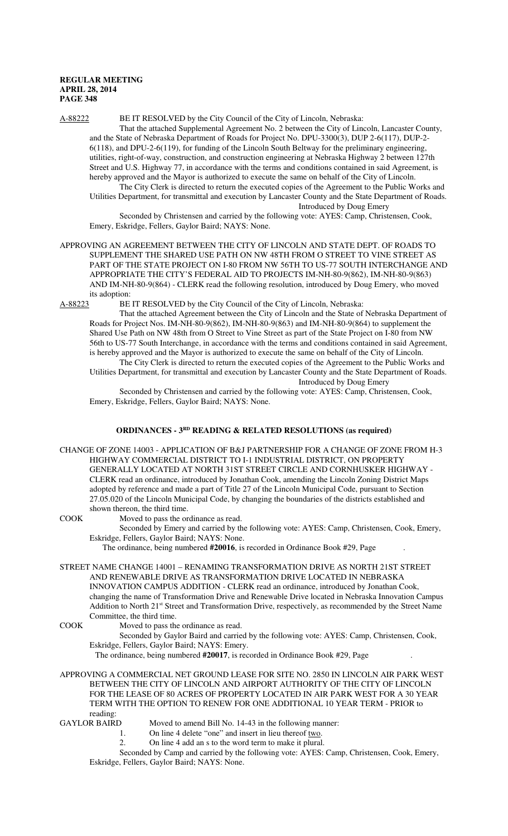## A-88222 BE IT RESOLVED by the City Council of the City of Lincoln, Nebraska:

That the attached Supplemental Agreement No. 2 between the City of Lincoln, Lancaster County, and the State of Nebraska Department of Roads for Project No. DPU-3300(3), DUP 2-6(117), DUP-2- 6(118), and DPU-2-6(119), for funding of the Lincoln South Beltway for the preliminary engineering, utilities, right-of-way, construction, and construction engineering at Nebraska Highway 2 between 127th Street and U.S. Highway 77, in accordance with the terms and conditions contained in said Agreement, is hereby approved and the Mayor is authorized to execute the same on behalf of the City of Lincoln.

The City Clerk is directed to return the executed copies of the Agreement to the Public Works and Utilities Department, for transmittal and execution by Lancaster County and the State Department of Roads. Introduced by Doug Emery

Seconded by Christensen and carried by the following vote: AYES: Camp, Christensen, Cook, Emery, Eskridge, Fellers, Gaylor Baird; NAYS: None.

APPROVING AN AGREEMENT BETWEEN THE CITY OF LINCOLN AND STATE DEPT. OF ROADS TO SUPPLEMENT THE SHARED USE PATH ON NW 48TH FROM O STREET TO VINE STREET AS PART OF THE STATE PROJECT ON I-80 FROM NW 56TH TO US-77 SOUTH INTERCHANGE AND APPROPRIATE THE CITY'S FEDERAL AID TO PROJECTS IM-NH-80-9(862), IM-NH-80-9(863) AND IM-NH-80-9(864) - CLERK read the following resolution, introduced by Doug Emery, who moved its adoption:

A-88223 BE IT RESOLVED by the City Council of the City of Lincoln, Nebraska:

That the attached Agreement between the City of Lincoln and the State of Nebraska Department of Roads for Project Nos. IM-NH-80-9(862), IM-NH-80-9(863) and IM-NH-80-9(864) to supplement the Shared Use Path on NW 48th from O Street to Vine Street as part of the State Project on I-80 from NW 56th to US-77 South Interchange, in accordance with the terms and conditions contained in said Agreement, is hereby approved and the Mayor is authorized to execute the same on behalf of the City of Lincoln.

The City Clerk is directed to return the executed copies of the Agreement to the Public Works and Utilities Department, for transmittal and execution by Lancaster County and the State Department of Roads. Introduced by Doug Emery

Seconded by Christensen and carried by the following vote: AYES: Camp, Christensen, Cook, Emery, Eskridge, Fellers, Gaylor Baird; NAYS: None.

## **ORDINANCES - 3RD READING & RELATED RESOLUTIONS (as required)**

CHANGE OF ZONE 14003 - APPLICATION OF B&J PARTNERSHIP FOR A CHANGE OF ZONE FROM H-3 HIGHWAY COMMERCIAL DISTRICT TO I-1 INDUSTRIAL DISTRICT, ON PROPERTY GENERALLY LOCATED AT NORTH 31ST STREET CIRCLE AND CORNHUSKER HIGHWAY - CLERK read an ordinance, introduced by Jonathan Cook, amending the Lincoln Zoning District Maps adopted by reference and made a part of Title 27 of the Lincoln Municipal Code, pursuant to Section 27.05.020 of the Lincoln Municipal Code, by changing the boundaries of the districts established and shown thereon, the third time.

COOK Moved to pass the ordinance as read.

Seconded by Emery and carried by the following vote: AYES: Camp, Christensen, Cook, Emery, Eskridge, Fellers, Gaylor Baird; NAYS: None.

The ordinance, being numbered **#20016**, is recorded in Ordinance Book #29, Page .

STREET NAME CHANGE 14001 – RENAMING TRANSFORMATION DRIVE AS NORTH 21ST STREET AND RENEWABLE DRIVE AS TRANSFORMATION DRIVE LOCATED IN NEBRASKA INNOVATION CAMPUS ADDITION - CLERK read an ordinance, introduced by Jonathan Cook, changing the name of Transformation Drive and Renewable Drive located in Nebraska Innovation Campus Addition to North 21st Street and Transformation Drive, respectively, as recommended by the Street Name Committee, the third time.

COOK Moved to pass the ordinance as read.

Seconded by Gaylor Baird and carried by the following vote: AYES: Camp, Christensen, Cook, Eskridge, Fellers, Gaylor Baird; NAYS: Emery.

The ordinance, being numbered **#20017**, is recorded in Ordinance Book #29, Page .

APPROVING A COMMERCIAL NET GROUND LEASE FOR SITE NO. 2850 IN LINCOLN AIR PARK WEST BETWEEN THE CITY OF LINCOLN AND AIRPORT AUTHORITY OF THE CITY OF LINCOLN FOR THE LEASE OF 80 ACRES OF PROPERTY LOCATED IN AIR PARK WEST FOR A 30 YEAR TERM WITH THE OPTION TO RENEW FOR ONE ADDITIONAL 10 YEAR TERM - PRIOR to

reading:<br>GAYLOR BAIRD

- Moved to amend Bill No. 14-43 in the following manner:
- 1. On line 4 delete "one" and insert in lieu thereof two.
- 2. On line 4 add an s to the word term to make it plural.

Seconded by Camp and carried by the following vote: AYES: Camp, Christensen, Cook, Emery, Eskridge, Fellers, Gaylor Baird; NAYS: None.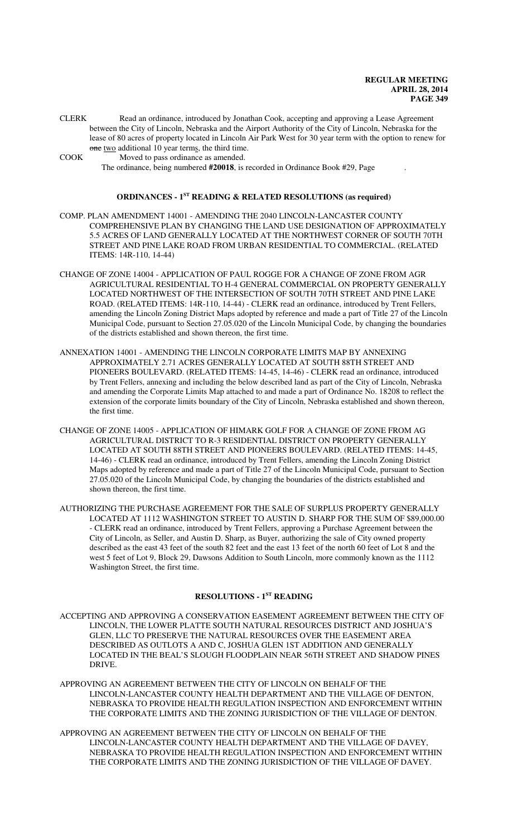CLERK Read an ordinance, introduced by Jonathan Cook, accepting and approving a Lease Agreement between the City of Lincoln, Nebraska and the Airport Authority of the City of Lincoln, Nebraska for the lease of 80 acres of property located in Lincoln Air Park West for 30 year term with the option to renew for one two additional 10 year terms, the third time.

COOK Moved to pass ordinance as amended. The ordinance, being numbered **#20018**, is recorded in Ordinance Book #29, Page .

#### **ORDINANCES - 1ST READING & RELATED RESOLUTIONS (as required)**

- COMP. PLAN AMENDMENT 14001 AMENDING THE 2040 LINCOLN-LANCASTER COUNTY COMPREHENSIVE PLAN BY CHANGING THE LAND USE DESIGNATION OF APPROXIMATELY 5.5 ACRES OF LAND GENERALLY LOCATED AT THE NORTHWEST CORNER OF SOUTH 70TH STREET AND PINE LAKE ROAD FROM URBAN RESIDENTIAL TO COMMERCIAL. (RELATED ITEMS: 14R-110, 14-44)
- CHANGE OF ZONE 14004 APPLICATION OF PAUL ROGGE FOR A CHANGE OF ZONE FROM AGR AGRICULTURAL RESIDENTIAL TO H-4 GENERAL COMMERCIAL ON PROPERTY GENERALLY LOCATED NORTHWEST OF THE INTERSECTION OF SOUTH 70TH STREET AND PINE LAKE ROAD. (RELATED ITEMS: 14R-110, 14-44) - CLERK read an ordinance, introduced by Trent Fellers, amending the Lincoln Zoning District Maps adopted by reference and made a part of Title 27 of the Lincoln Municipal Code, pursuant to Section 27.05.020 of the Lincoln Municipal Code, by changing the boundaries of the districts established and shown thereon, the first time.
- ANNEXATION 14001 AMENDING THE LINCOLN CORPORATE LIMITS MAP BY ANNEXING APPROXIMATELY 2.71 ACRES GENERALLY LOCATED AT SOUTH 88TH STREET AND PIONEERS BOULEVARD. (RELATED ITEMS: 14-45, 14-46) - CLERK read an ordinance, introduced by Trent Fellers, annexing and including the below described land as part of the City of Lincoln, Nebraska and amending the Corporate Limits Map attached to and made a part of Ordinance No. 18208 to reflect the extension of the corporate limits boundary of the City of Lincoln, Nebraska established and shown thereon, the first time.
- CHANGE OF ZONE 14005 APPLICATION OF HIMARK GOLF FOR A CHANGE OF ZONE FROM AG AGRICULTURAL DISTRICT TO R-3 RESIDENTIAL DISTRICT ON PROPERTY GENERALLY LOCATED AT SOUTH 88TH STREET AND PIONEERS BOULEVARD. (RELATED ITEMS: 14-45, 14-46) - CLERK read an ordinance, introduced by Trent Fellers, amending the Lincoln Zoning District Maps adopted by reference and made a part of Title 27 of the Lincoln Municipal Code, pursuant to Section 27.05.020 of the Lincoln Municipal Code, by changing the boundaries of the districts established and shown thereon, the first time.
- AUTHORIZING THE PURCHASE AGREEMENT FOR THE SALE OF SURPLUS PROPERTY GENERALLY LOCATED AT 1112 WASHINGTON STREET TO AUSTIN D. SHARP FOR THE SUM OF \$89,000.00 - CLERK read an ordinance, introduced by Trent Fellers, approving a Purchase Agreement between the City of Lincoln, as Seller, and Austin D. Sharp, as Buyer, authorizing the sale of City owned property described as the east 43 feet of the south 82 feet and the east 13 feet of the north 60 feet of Lot 8 and the west 5 feet of Lot 9, Block 29, Dawsons Addition to South Lincoln, more commonly known as the 1112 Washington Street, the first time.

## **RESOLUTIONS - 1ST READING**

- ACCEPTING AND APPROVING A CONSERVATION EASEMENT AGREEMENT BETWEEN THE CITY OF LINCOLN, THE LOWER PLATTE SOUTH NATURAL RESOURCES DISTRICT AND JOSHUA'S GLEN, LLC TO PRESERVE THE NATURAL RESOURCES OVER THE EASEMENT AREA DESCRIBED AS OUTLOTS A AND C, JOSHUA GLEN 1ST ADDITION AND GENERALLY LOCATED IN THE BEAL'S SLOUGH FLOODPLAIN NEAR 56TH STREET AND SHADOW PINES DRIVE.
- APPROVING AN AGREEMENT BETWEEN THE CITY OF LINCOLN ON BEHALF OF THE LINCOLN-LANCASTER COUNTY HEALTH DEPARTMENT AND THE VILLAGE OF DENTON, NEBRASKA TO PROVIDE HEALTH REGULATION INSPECTION AND ENFORCEMENT WITHIN THE CORPORATE LIMITS AND THE ZONING JURISDICTION OF THE VILLAGE OF DENTON.
- APPROVING AN AGREEMENT BETWEEN THE CITY OF LINCOLN ON BEHALF OF THE LINCOLN-LANCASTER COUNTY HEALTH DEPARTMENT AND THE VILLAGE OF DAVEY, NEBRASKA TO PROVIDE HEALTH REGULATION INSPECTION AND ENFORCEMENT WITHIN THE CORPORATE LIMITS AND THE ZONING JURISDICTION OF THE VILLAGE OF DAVEY.